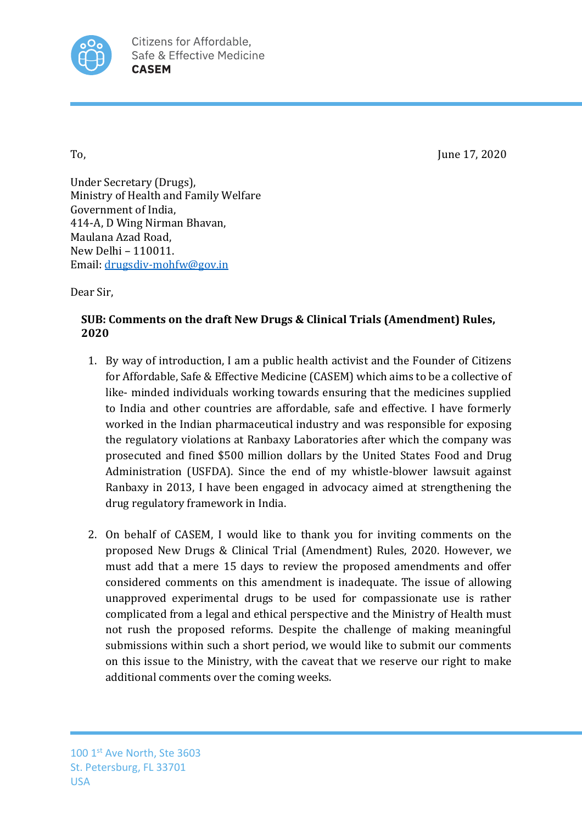

To, **If the Contract of the Contract of the Contract of To August 2020** 

Under Secretary (Drugs), Ministry of Health and Family Welfare Government of India. 414-A, D Wing Nirman Bhavan, Maulana Azad Road, New Delhi - 110011. Email: drugsdiv-mohfw@gov.in

Dear Sir,

## **SUB: Comments on the draft New Drugs & Clinical Trials (Amendment) Rules, 2020**

- 1. By way of introduction, I am a public health activist and the Founder of Citizens for Affordable, Safe & Effective Medicine (CASEM) which aims to be a collective of like- minded individuals working towards ensuring that the medicines supplied to India and other countries are affordable, safe and effective. I have formerly worked in the Indian pharmaceutical industry and was responsible for exposing the regulatory violations at Ranbaxy Laboratories after which the company was prosecuted and fined \$500 million dollars by the United States Food and Drug Administration (USFDA). Since the end of my whistle-blower lawsuit against Ranbaxy in 2013, I have been engaged in advocacy aimed at strengthening the drug regulatory framework in India.
- 2. On behalf of CASEM, I would like to thank you for inviting comments on the proposed New Drugs & Clinical Trial (Amendment) Rules, 2020. However, we must add that a mere 15 days to review the proposed amendments and offer considered comments on this amendment is inadequate. The issue of allowing unapproved experimental drugs to be used for compassionate use is rather complicated from a legal and ethical perspective and the Ministry of Health must not rush the proposed reforms. Despite the challenge of making meaningful submissions within such a short period, we would like to submit our comments on this issue to the Ministry, with the caveat that we reserve our right to make additional comments over the coming weeks.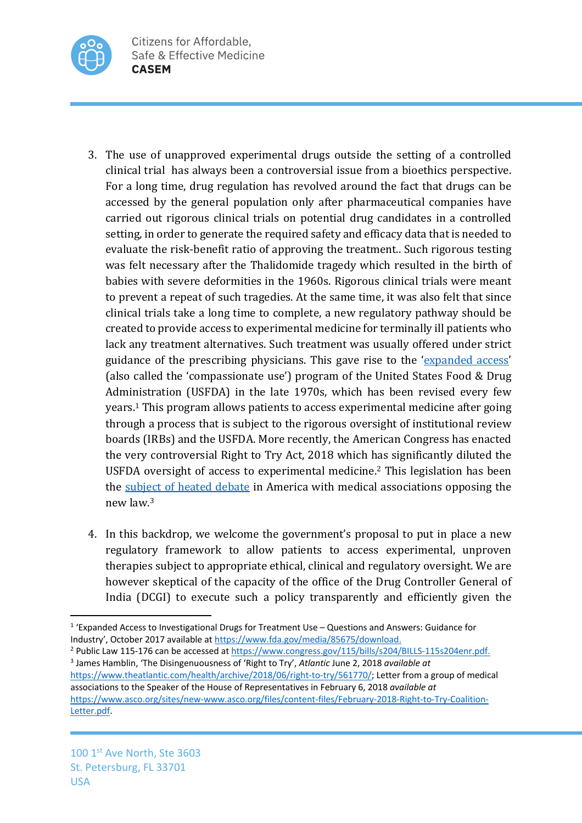

- 3. The use of unapproved experimental drugs outside the setting of a controlled clinical trial has always been a controversial issue from a bioethics perspective. For a long time, drug regulation has revolved around the fact that drugs can be accessed by the general population only after pharmaceutical companies have carried out rigorous clinical trials on potential drug candidates in a controlled setting, in order to generate the required safety and efficacy data that is needed to evaluate the risk-benefit ratio of approving the treatment.. Such rigorous testing was felt necessary after the Thalidomide tragedy which resulted in the birth of babies with severe deformities in the 1960s. Rigorous clinical trials were meant to prevent a repeat of such tragedies. At the same time, it was also felt that since clinical trials take a long time to complete, a new regulatory pathway should be created to provide access to experimental medicine for terminally ill patients who lack any treatment alternatives. Such treatment was usually offered under strict guidance of the prescribing physicians. This gave rise to the 'expanded access' (also called the 'compassionate use') program of the United States Food & Drug Administration (USFDA) in the late 1970s, which has been revised every few years.<sup>1</sup> This program allows patients to access experimental medicine after going through a process that is subject to the rigorous oversight of institutional review boards (IRBs) and the USFDA. More recently, the American Congress has enacted the very controversial Right to Try Act, 2018 which has significantly diluted the USFDA oversight of access to experimental medicine.<sup>2</sup> This legislation has been the subject of heated debate in America with medical associations opposing the new law.3
- 4. In this backdrop, we welcome the government's proposal to put in place a new regulatory framework to allow patients to access experimental, unproven therapies subject to appropriate ethical, clinical and regulatory oversight. We are however skeptical of the capacity of the office of the Drug Controller General of India (DCGI) to execute such a policy transparently and efficiently given the

<sup>2</sup> Public Law 115-176 can be accessed at https://www.congress.gov/115/bills/s204/BILLS-115s204enr.pdf. <sup>3</sup> James Hamblin, 'The Disingenuousness of 'Right to Try', *Atlantic* June 2, 2018 *available at*  https://www.theatlantic.com/health/archive/2018/06/right-to-try/561770/; Letter from a group of medical associations to the Speaker of the House of Representatives in February 6, 2018 *available at* https://www.asco.org/sites/new-www.asco.org/files/content-files/February-2018-Right-to-Try-Coalition-Letter.pdf.

<sup>1</sup> 'Expanded Access to Investigational Drugs for Treatment Use – Questions and Answers: Guidance for Industry', October 2017 available at https://www.fda.gov/media/85675/download.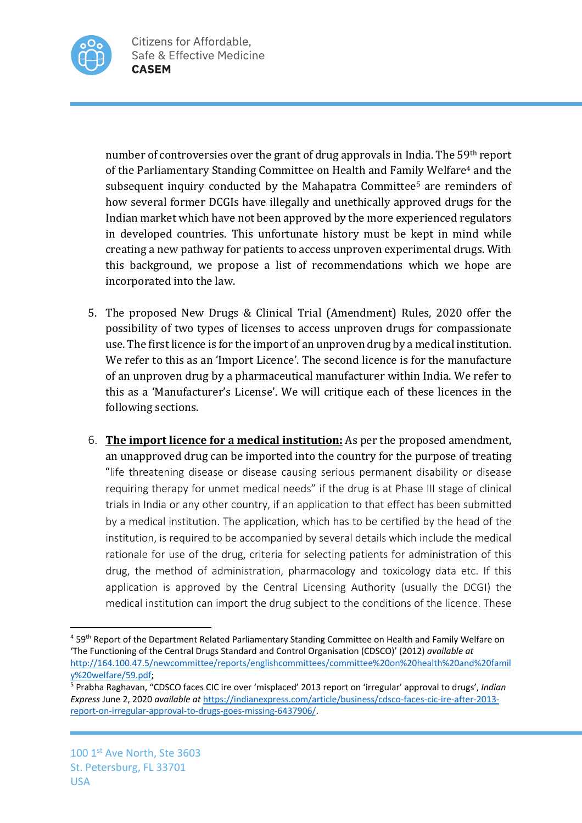

number of controversies over the grant of drug approvals in India. The 59<sup>th</sup> report of the Parliamentary Standing Committee on Health and Family Welfare<sup>4</sup> and the subsequent inquiry conducted by the Mahapatra Committee<sup>5</sup> are reminders of how several former DCGIs have illegally and unethically approved drugs for the Indian market which have not been approved by the more experienced regulators in developed countries. This unfortunate history must be kept in mind while creating a new pathway for patients to access unproven experimental drugs. With this background, we propose a list of recommendations which we hope are incorporated into the law.

- 5. The proposed New Drugs & Clinical Trial (Amendment) Rules, 2020 offer the possibility of two types of licenses to access unproven drugs for compassionate use. The first licence is for the import of an unproven drug by a medical institution. We refer to this as an 'Import Licence'. The second licence is for the manufacture of an unproven drug by a pharmaceutical manufacturer within India. We refer to this as a 'Manufacturer's License'. We will critique each of these licences in the following sections.
- 6. **The import licence for a medical institution:** As per the proposed amendment, an unapproved drug can be imported into the country for the purpose of treating "life threatening disease or disease causing serious permanent disability or disease requiring therapy for unmet medical needs" if the drug is at Phase III stage of clinical trials in India or any other country, if an application to that effect has been submitted by a medical institution. The application, which has to be certified by the head of the institution, is required to be accompanied by several details which include the medical rationale for use of the drug, criteria for selecting patients for administration of this drug, the method of administration, pharmacology and toxicology data etc. If this application is approved by the Central Licensing Authority (usually the DCGI) the medical institution can import the drug subject to the conditions of the licence. These

<sup>4</sup> 59th Report of the Department Related Parliamentary Standing Committee on Health and Family Welfare on 'The Functioning of the Central Drugs Standard and Control Organisation (CDSCO)' (2012) *available at* http://164.100.47.5/newcommittee/reports/englishcommittees/committee%20on%20health%20and%20famil y%20welfare/59.pdf; 5 Prabha Raghavan, "CDSCO faces CIC ire over 'misplaced' 2013 report on 'irregular' approval to drugs', *Indian* 

*Express* June 2, 2020 *available at* https://indianexpress.com/article/business/cdsco-faces-cic-ire-after-2013 report-on-irregular-approval-to-drugs-goes-missing-6437906/.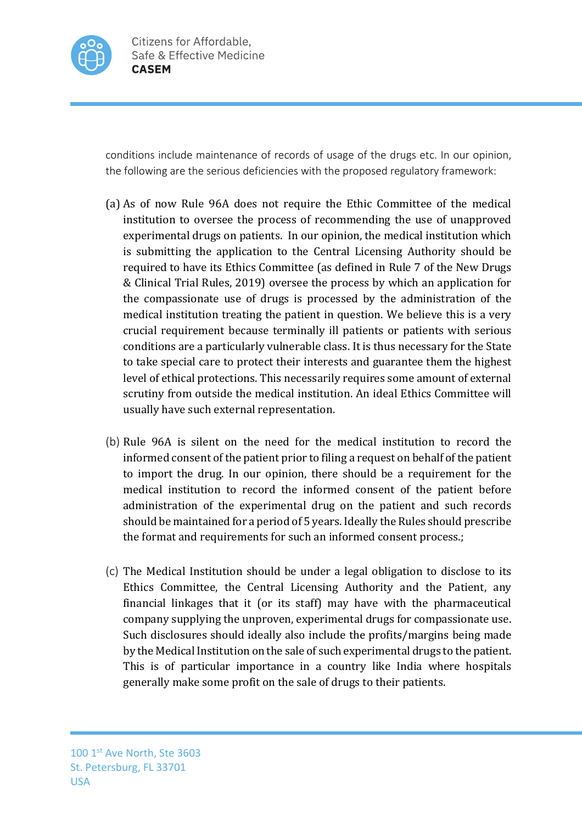

conditions include maintenance of records of usage of the drugs etc. In our opinion, the following are the serious deficiencies with the proposed regulatory framework:

- (a) As of now Rule 96A does not require the Ethic Committee of the medical institution to oversee the process of recommending the use of unapproved experimental drugs on patients. In our opinion, the medical institution which is submitting the application to the Central Licensing Authority should be required to have its Ethics Committee (as defined in Rule 7 of the New Drugs & Clinical Trial Rules, 2019) oversee the process by which an application for the compassionate use of drugs is processed by the administration of the medical institution treating the patient in question. We believe this is a very crucial requirement because terminally ill patients or patients with serious conditions are a particularly vulnerable class. It is thus necessary for the State to take special care to protect their interests and guarantee them the highest level of ethical protections. This necessarily requires some amount of external scrutiny from outside the medical institution. An ideal Ethics Committee will usually have such external representation.
- (b) Rule 96A is silent on the need for the medical institution to record the informed consent of the patient prior to filing a request on behalf of the patient to import the drug. In our opinion, there should be a requirement for the medical institution to record the informed consent of the patient before administration of the experimental drug on the patient and such records should be maintained for a period of 5 years. Ideally the Rules should prescribe the format and requirements for such an informed consent process.;
- (c) The Medical Institution should be under a legal obligation to disclose to its Ethics Committee, the Central Licensing Authority and the Patient, any financial linkages that it (or its staff) may have with the pharmaceutical company supplying the unproven, experimental drugs for compassionate use. Such disclosures should ideally also include the profits/margins being made by the Medical Institution on the sale of such experimental drugs to the patient. This is of particular importance in a country like India where hospitals generally make some profit on the sale of drugs to their patients.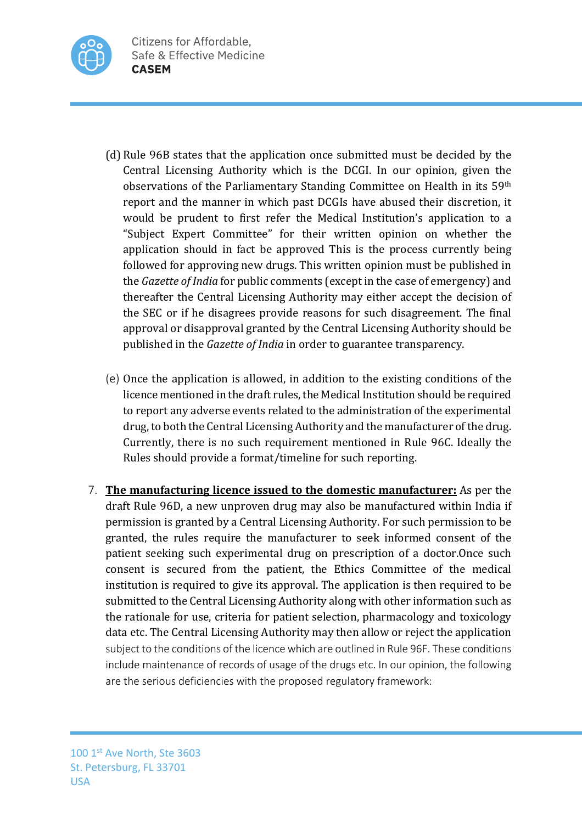

- (d) Rule 96B states that the application once submitted must be decided by the Central Licensing Authority which is the DCGI. In our opinion, given the observations of the Parliamentary Standing Committee on Health in its 59th report and the manner in which past DCGIs have abused their discretion, it would be prudent to first refer the Medical Institution's application to a "Subject Expert Committee" for their written opinion on whether the application should in fact be approved This is the process currently being followed for approving new drugs. This written opinion must be published in the *Gazette of India* for public comments (except in the case of emergency) and thereafter the Central Licensing Authority may either accept the decision of the SEC or if he disagrees provide reasons for such disagreement. The final approval or disapproval granted by the Central Licensing Authority should be published in the *Gazette of India* in order to guarantee transparency.
- (e) Once the application is allowed, in addition to the existing conditions of the licence mentioned in the draft rules, the Medical Institution should be required to report any adverse events related to the administration of the experimental drug, to both the Central Licensing Authority and the manufacturer of the drug. Currently, there is no such requirement mentioned in Rule 96C. Ideally the Rules should provide a format/timeline for such reporting.
- 7. **The manufacturing licence issued to the domestic manufacturer:** As per the draft Rule 96D, a new unproven drug may also be manufactured within India if permission is granted by a Central Licensing Authority. For such permission to be granted, the rules require the manufacturer to seek informed consent of the patient seeking such experimental drug on prescription of a doctor. Once such consent is secured from the patient, the Ethics Committee of the medical institution is required to give its approval. The application is then required to be submitted to the Central Licensing Authority along with other information such as the rationale for use, criteria for patient selection, pharmacology and toxicology data etc. The Central Licensing Authority may then allow or reject the application subject to the conditions of the licence which are outlined in Rule 96F. These conditions include maintenance of records of usage of the drugs etc. In our opinion, the following are the serious deficiencies with the proposed regulatory framework: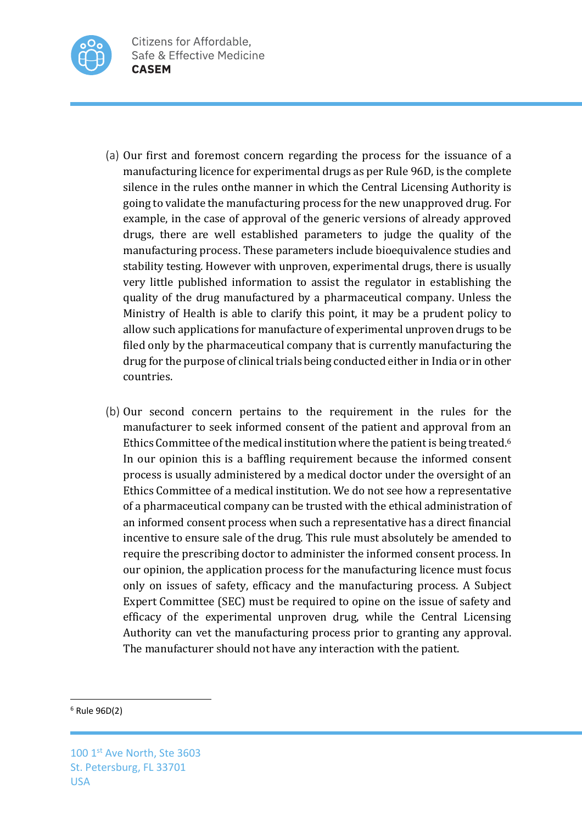

- (a) Our first and foremost concern regarding the process for the issuance of a manufacturing licence for experimental drugs as per Rule 96D, is the complete silence in the rules onthe manner in which the Central Licensing Authority is going to validate the manufacturing process for the new unapproved drug. For example, in the case of approval of the generic versions of already approved drugs, there are well established parameters to judge the quality of the manufacturing process. These parameters include bioequivalence studies and stability testing. However with unproven, experimental drugs, there is usually very little published information to assist the regulator in establishing the quality of the drug manufactured by a pharmaceutical company. Unless the Ministry of Health is able to clarify this point, it may be a prudent policy to allow such applications for manufacture of experimental unproven drugs to be filed only by the pharmaceutical company that is currently manufacturing the drug for the purpose of clinical trials being conducted either in India or in other countries.
- (b) Our second concern pertains to the requirement in the rules for the manufacturer to seek informed consent of the patient and approval from an Ethics Committee of the medical institution where the patient is being treated.<sup>6</sup> In our opinion this is a baffling requirement because the informed consent process is usually administered by a medical doctor under the oversight of an Ethics Committee of a medical institution. We do not see how a representative of a pharmaceutical company can be trusted with the ethical administration of an informed consent process when such a representative has a direct financial incentive to ensure sale of the drug. This rule must absolutely be amended to require the prescribing doctor to administer the informed consent process. In our opinion, the application process for the manufacturing licence must focus only on issues of safety, efficacy and the manufacturing process. A Subject Expert Committee (SEC) must be required to opine on the issue of safety and efficacy of the experimental unproven drug, while the Central Licensing Authority can vet the manufacturing process prior to granting any approval. The manufacturer should not have any interaction with the patient.

## <sup>6</sup> Rule 96D(2)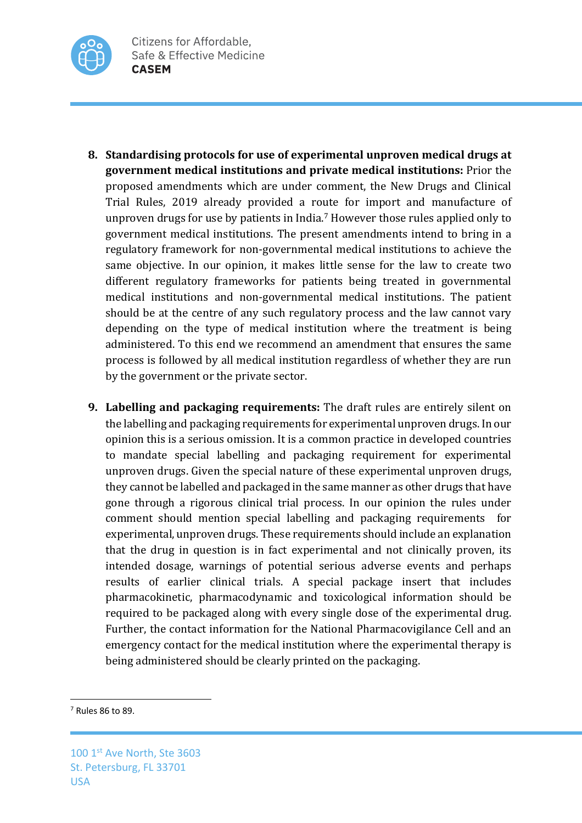

- **8.** Standardising protocols for use of experimental unproven medical drugs at **government medical institutions and private medical institutions:** Prior the proposed amendments which are under comment, the New Drugs and Clinical Trial Rules, 2019 already provided a route for import and manufacture of unproven drugs for use by patients in India.<sup>7</sup> However those rules applied only to government medical institutions. The present amendments intend to bring in a regulatory framework for non-governmental medical institutions to achieve the same objective. In our opinion, it makes little sense for the law to create two different regulatory frameworks for patients being treated in governmental medical institutions and non-governmental medical institutions. The patient should be at the centre of any such regulatory process and the law cannot vary depending on the type of medical institution where the treatment is being administered. To this end we recommend an amendment that ensures the same process is followed by all medical institution regardless of whether they are run by the government or the private sector.
- **9. Labelling and packaging requirements:** The draft rules are entirely silent on the labelling and packaging requirements for experimental unproven drugs. In our opinion this is a serious omission. It is a common practice in developed countries to mandate special labelling and packaging requirement for experimental unproven drugs. Given the special nature of these experimental unproven drugs, they cannot be labelled and packaged in the same manner as other drugs that have gone through a rigorous clinical trial process. In our opinion the rules under comment should mention special labelling and packaging requirements for experimental, unproven drugs. These requirements should include an explanation that the drug in question is in fact experimental and not clinically proven, its intended dosage, warnings of potential serious adverse events and perhaps results of earlier clinical trials. A special package insert that includes pharmacokinetic, pharmacodynamic and toxicological information should be required to be packaged along with every single dose of the experimental drug. Further, the contact information for the National Pharmacovigilance Cell and an emergency contact for the medical institution where the experimental therapy is being administered should be clearly printed on the packaging.

<sup>7</sup> Rules 86 to 89.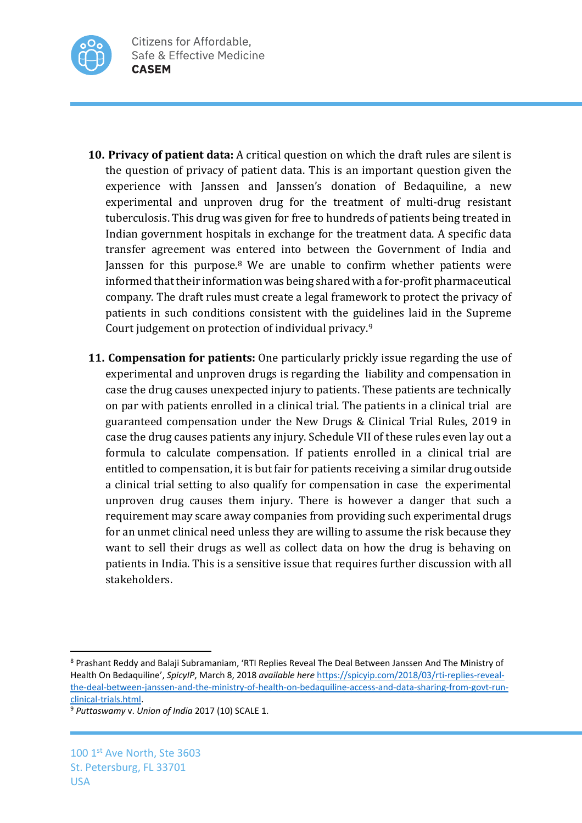

- **10. Privacy of patient data:** A critical question on which the draft rules are silent is the question of privacy of patient data. This is an important question given the experience with Janssen and Janssen's donation of Bedaquiline, a new experimental and unproven drug for the treatment of multi-drug resistant tuberculosis. This drug was given for free to hundreds of patients being treated in Indian government hospitals in exchange for the treatment data. A specific data transfer agreement was entered into between the Government of India and Janssen for this purpose.<sup>8</sup> We are unable to confirm whether patients were informed that their information was being shared with a for-profit pharmaceutical company. The draft rules must create a legal framework to protect the privacy of patients in such conditions consistent with the guidelines laid in the Supreme Court judgement on protection of individual privacy. $9$
- **11. Compensation for patients:** One particularly prickly issue regarding the use of experimental and unproven drugs is regarding the liability and compensation in case the drug causes unexpected injury to patients. These patients are technically on par with patients enrolled in a clinical trial. The patients in a clinical trial are guaranteed compensation under the New Drugs & Clinical Trial Rules, 2019 in case the drug causes patients any injury. Schedule VII of these rules even lay out a formula to calculate compensation. If patients enrolled in a clinical trial are entitled to compensation, it is but fair for patients receiving a similar drug outside a clinical trial setting to also qualify for compensation in case the experimental unproven drug causes them injury. There is however a danger that such a requirement may scare away companies from providing such experimental drugs for an unmet clinical need unless they are willing to assume the risk because they want to sell their drugs as well as collect data on how the drug is behaving on patients in India. This is a sensitive issue that requires further discussion with all stakeholders.

<sup>8</sup> Prashant Reddy and Balaji Subramaniam, 'RTI Replies Reveal The Deal Between Janssen And The Ministry of Health On Bedaquiline', *SpicyIP*, March 8, 2018 *available here* https://spicyip.com/2018/03/rti-replies-revealthe-deal-between-janssen-and-the-ministry-of-health-on-bedaquiline-access-and-data-sharing-from-govt-runclinical-trials.html. 9 *Puttaswamy* v. *Union of India* 2017 (10) SCALE 1.